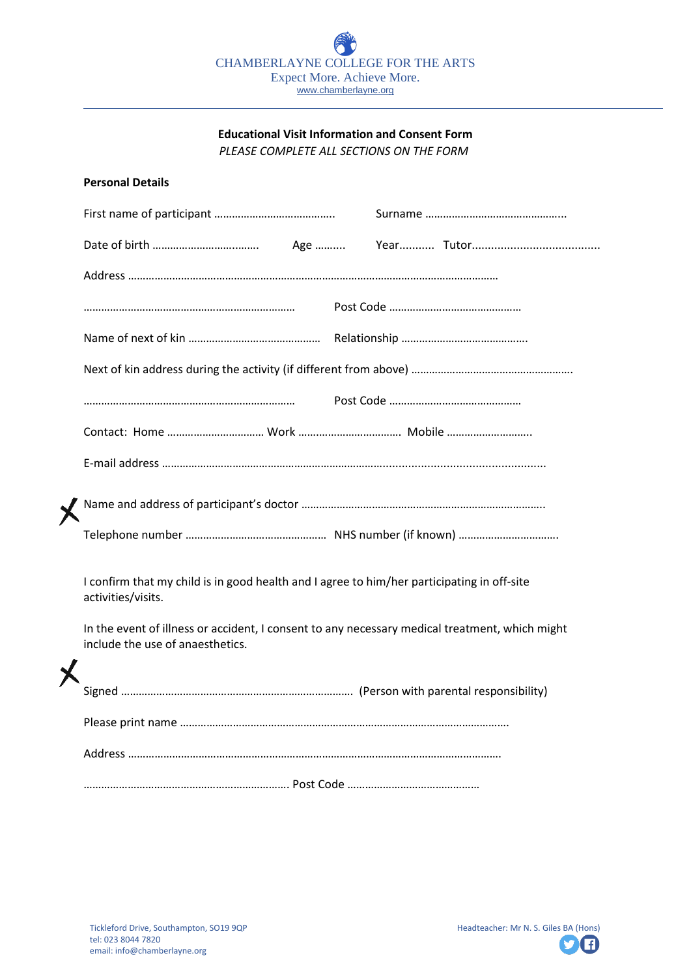## **Educational Visit Information and Consent Form** *PLEASE COMPLETE ALL SECTIONS ON THE FORM*

|  | <b>Personal Details</b>                                                                                                                                                                                                                                |  |  |  |  |
|--|--------------------------------------------------------------------------------------------------------------------------------------------------------------------------------------------------------------------------------------------------------|--|--|--|--|
|  |                                                                                                                                                                                                                                                        |  |  |  |  |
|  |                                                                                                                                                                                                                                                        |  |  |  |  |
|  |                                                                                                                                                                                                                                                        |  |  |  |  |
|  |                                                                                                                                                                                                                                                        |  |  |  |  |
|  |                                                                                                                                                                                                                                                        |  |  |  |  |
|  |                                                                                                                                                                                                                                                        |  |  |  |  |
|  |                                                                                                                                                                                                                                                        |  |  |  |  |
|  |                                                                                                                                                                                                                                                        |  |  |  |  |
|  |                                                                                                                                                                                                                                                        |  |  |  |  |
|  |                                                                                                                                                                                                                                                        |  |  |  |  |
|  |                                                                                                                                                                                                                                                        |  |  |  |  |
|  | I confirm that my child is in good health and I agree to him/her participating in off-site<br>activities/visits.<br>In the event of illness or accident, I consent to any necessary medical treatment, which might<br>include the use of anaesthetics. |  |  |  |  |
|  |                                                                                                                                                                                                                                                        |  |  |  |  |
|  |                                                                                                                                                                                                                                                        |  |  |  |  |
|  |                                                                                                                                                                                                                                                        |  |  |  |  |
|  |                                                                                                                                                                                                                                                        |  |  |  |  |
|  |                                                                                                                                                                                                                                                        |  |  |  |  |